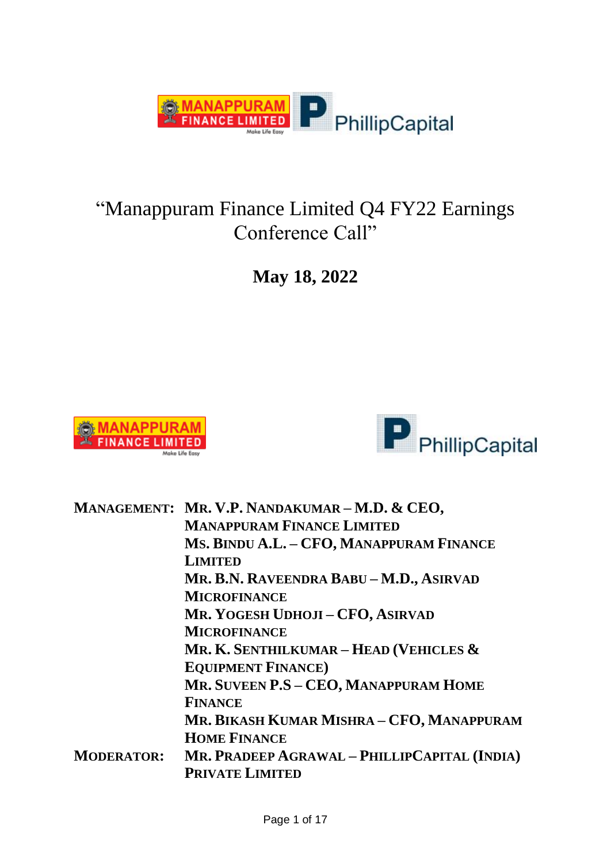

### "Manappuram Finance Limited Q4 FY22 Earnings Conference Call"

**May 18, 2022**





|                   | MANAGEMENT: MR. V.P. NANDAKUMAR - M.D. & CEO, |
|-------------------|-----------------------------------------------|
|                   | <b>MANAPPURAM FINANCE LIMITED</b>             |
|                   | MS. BINDU A.L. - CFO, MANAPPURAM FINANCE      |
|                   | <b>LIMITED</b>                                |
|                   | MR. B.N. RAVEENDRA BABU - M.D., ASIRVAD       |
|                   | <b>MICROFINANCE</b>                           |
|                   | MR. YOGESH UDHOJI - CFO, ASIRVAD              |
|                   | <b>MICROFINANCE</b>                           |
|                   | MR. K. SENTHILKUMAR – HEAD (VEHICLES $\&$     |
|                   | <b>EQUIPMENT FINANCE</b> )                    |
|                   | MR. SUVEEN P.S - CEO, MANAPPURAM HOME         |
|                   | <b>FINANCE</b>                                |
|                   | MR. BIKASH KUMAR MISHRA - CFO, MANAPPURAM     |
|                   | <b>HOME FINANCE</b>                           |
| <b>MODERATOR:</b> | MR. PRADEEP AGRAWAL - PHILLIPCAPITAL (INDIA)  |
|                   | <b>PRIVATE LIMITED</b>                        |
|                   |                                               |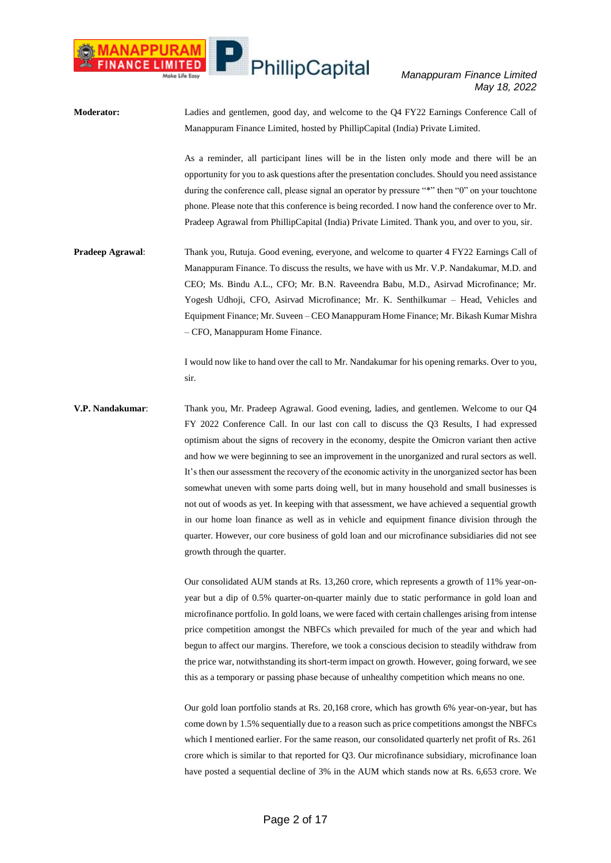*Manappuram Finance Limited May 18, 2022*

**Moderator:** Ladies and gentlemen, good day, and welcome to the Q4 FY22 Earnings Conference Call of Manappuram Finance Limited, hosted by PhillipCapital (India) Private Limited. As a reminder, all participant lines will be in the listen only mode and there will be an opportunity for you to ask questions after the presentation concludes. Should you need assistance during the conference call, please signal an operator by pressure "\*" then "0" on your touchtone phone. Please note that this conference is being recorded. I now hand the conference over to Mr. Pradeep Agrawal from PhillipCapital (India) Private Limited. Thank you, and over to you, sir. **Pradeep Agrawal:** Thank you, Rutuja. Good evening, everyone, and welcome to quarter 4 FY22 Earnings Call of Manappuram Finance. To discuss the results, we have with us Mr. V.P. Nandakumar, M.D. and CEO; Ms. Bindu A.L., CFO; Mr. B.N. Raveendra Babu, M.D., Asirvad Microfinance; Mr. Yogesh Udhoji, CFO, Asirvad Microfinance; Mr. K. Senthilkumar – Head, Vehicles and Equipment Finance; Mr. Suveen – CEO Manappuram Home Finance; Mr. Bikash Kumar Mishra – CFO, Manappuram Home Finance.

> I would now like to hand over the call to Mr. Nandakumar for his opening remarks. Over to you, sir.

**V.P. Nandakumar**: Thank you, Mr. Pradeep Agrawal. Good evening, ladies, and gentlemen. Welcome to our Q4 FY 2022 Conference Call. In our last con call to discuss the Q3 Results, I had expressed optimism about the signs of recovery in the economy, despite the Omicron variant then active and how we were beginning to see an improvement in the unorganized and rural sectors as well. It's then our assessment the recovery of the economic activity in the unorganized sector has been somewhat uneven with some parts doing well, but in many household and small businesses is not out of woods as yet. In keeping with that assessment, we have achieved a sequential growth in our home loan finance as well as in vehicle and equipment finance division through the quarter. However, our core business of gold loan and our microfinance subsidiaries did not see growth through the quarter.

> Our consolidated AUM stands at Rs. 13,260 crore, which represents a growth of 11% year-onyear but a dip of 0.5% quarter-on-quarter mainly due to static performance in gold loan and microfinance portfolio. In gold loans, we were faced with certain challenges arising from intense price competition amongst the NBFCs which prevailed for much of the year and which had begun to affect our margins. Therefore, we took a conscious decision to steadily withdraw from the price war, notwithstanding its short-term impact on growth. However, going forward, we see this as a temporary or passing phase because of unhealthy competition which means no one.

> Our gold loan portfolio stands at Rs. 20,168 crore, which has growth 6% year-on-year, but has come down by 1.5% sequentially due to a reason such as price competitions amongst the NBFCs which I mentioned earlier. For the same reason, our consolidated quarterly net profit of Rs. 261 crore which is similar to that reported for Q3. Our microfinance subsidiary, microfinance loan have posted a sequential decline of 3% in the AUM which stands now at Rs. 6,653 crore. We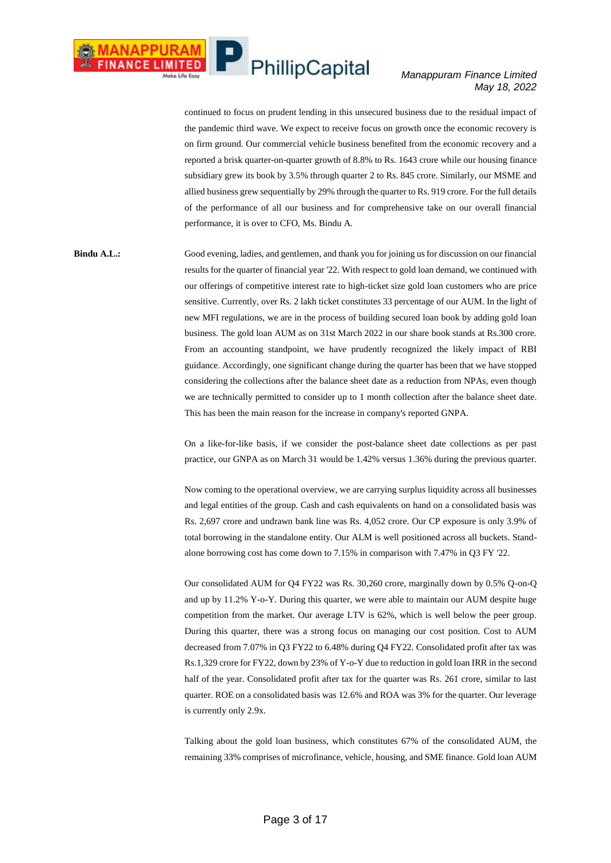#### *Manappuram Finance Limited May 18, 2022*

continued to focus on prudent lending in this unsecured business due to the residual impact of the pandemic third wave. We expect to receive focus on growth once the economic recovery is on firm ground. Our commercial vehicle business benefited from the economic recovery and a reported a brisk quarter-on-quarter growth of 8.8% to Rs. 1643 crore while our housing finance subsidiary grew its book by 3.5% through quarter 2 to Rs. 845 crore. Similarly, our MSME and allied business grew sequentially by 29% through the quarter to Rs. 919 crore. For the full details of the performance of all our business and for comprehensive take on our overall financial performance, it is over to CFO, Ms. Bindu A.

**Bindu A.L.:** Good evening, ladies, and gentlemen, and thank you for joining us for discussion on our financial results for the quarter of financial year '22. With respect to gold loan demand, we continued with our offerings of competitive interest rate to high-ticket size gold loan customers who are price sensitive. Currently, over Rs. 2 lakh ticket constitutes 33 percentage of our AUM. In the light of new MFI regulations, we are in the process of building secured loan book by adding gold loan business. The gold loan AUM as on 31st March 2022 in our share book stands at Rs.300 crore. From an accounting standpoint, we have prudently recognized the likely impact of RBI guidance. Accordingly, one significant change during the quarter has been that we have stopped considering the collections after the balance sheet date as a reduction from NPAs, even though we are technically permitted to consider up to 1 month collection after the balance sheet date. This has been the main reason for the increase in company's reported GNPA.

> On a like-for-like basis, if we consider the post-balance sheet date collections as per past practice, our GNPA as on March 31 would be 1.42% versus 1.36% during the previous quarter.

> Now coming to the operational overview, we are carrying surplus liquidity across all businesses and legal entities of the group. Cash and cash equivalents on hand on a consolidated basis was Rs. 2,697 crore and undrawn bank line was Rs. 4,052 crore. Our CP exposure is only 3.9% of total borrowing in the standalone entity. Our ALM is well positioned across all buckets. Standalone borrowing cost has come down to 7.15% in comparison with 7.47% in Q3 FY '22.

> Our consolidated AUM for Q4 FY22 was Rs. 30,260 crore, marginally down by 0.5% Q-on-Q and up by 11.2% Y-o-Y. During this quarter, we were able to maintain our AUM despite huge competition from the market. Our average LTV is 62%, which is well below the peer group. During this quarter, there was a strong focus on managing our cost position. Cost to AUM decreased from 7.07% in Q3 FY22 to 6.48% during Q4 FY22. Consolidated profit after tax was Rs.1,329 crore for FY22, down by 23% of Y-o-Y due to reduction in gold loan IRR in the second half of the year. Consolidated profit after tax for the quarter was Rs. 261 crore, similar to last quarter. ROE on a consolidated basis was 12.6% and ROA was 3% for the quarter. Our leverage is currently only 2.9x.

> Talking about the gold loan business, which constitutes 67% of the consolidated AUM, the remaining 33% comprises of microfinance, vehicle, housing, and SME finance. Gold loan AUM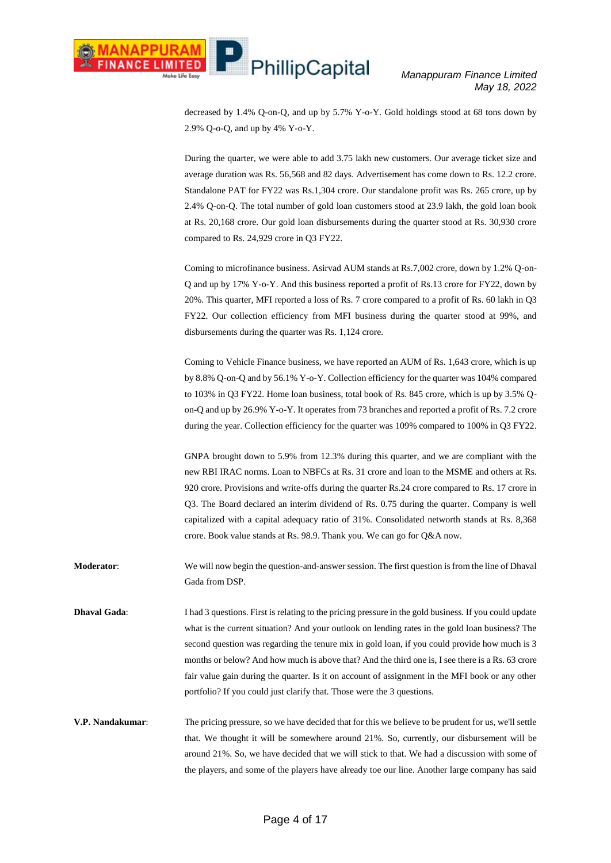decreased by 1.4% Q-on-Q, and up by 5.7% Y-o-Y. Gold holdings stood at 68 tons down by 2.9% Q-o-Q, and up by 4% Y-o-Y.

During the quarter, we were able to add 3.75 lakh new customers. Our average ticket size and average duration was Rs. 56,568 and 82 days. Advertisement has come down to Rs. 12.2 crore. Standalone PAT for FY22 was Rs.1,304 crore. Our standalone profit was Rs. 265 crore, up by 2.4% Q-on-Q. The total number of gold loan customers stood at 23.9 lakh, the gold loan book at Rs. 20,168 crore. Our gold loan disbursements during the quarter stood at Rs. 30,930 crore compared to Rs. 24,929 crore in Q3 FY22.

Coming to microfinance business. Asirvad AUM stands at Rs.7,002 crore, down by 1.2% Q-on-Q and up by 17% Y-o-Y. And this business reported a profit of Rs.13 crore for FY22, down by 20%. This quarter, MFI reported a loss of Rs. 7 crore compared to a profit of Rs. 60 lakh in Q3 FY22. Our collection efficiency from MFI business during the quarter stood at 99%, and disbursements during the quarter was Rs. 1,124 crore.

Coming to Vehicle Finance business, we have reported an AUM of Rs. 1,643 crore, which is up by 8.8% Q-on-Q and by 56.1% Y-o-Y. Collection efficiency for the quarter was 104% compared to 103% in Q3 FY22. Home loan business, total book of Rs. 845 crore, which is up by 3.5% Qon-Q and up by 26.9% Y-o-Y. It operates from 73 branches and reported a profit of Rs. 7.2 crore during the year. Collection efficiency for the quarter was 109% compared to 100% in Q3 FY22.

GNPA brought down to 5.9% from 12.3% during this quarter, and we are compliant with the new RBI IRAC norms. Loan to NBFCs at Rs. 31 crore and loan to the MSME and others at Rs. 920 crore. Provisions and write-offs during the quarter Rs.24 crore compared to Rs. 17 crore in Q3. The Board declared an interim dividend of Rs. 0.75 during the quarter. Company is well capitalized with a capital adequacy ratio of 31%. Consolidated networth stands at Rs. 8,368 crore. Book value stands at Rs. 98.9. Thank you. We can go for Q&A now.

**Moderator**: We will now begin the question-and-answer session. The first question is from the line of Dhaval Gada from DSP.

**Dhaval Gada:** I had 3 questions. First is relating to the pricing pressure in the gold business. If you could update what is the current situation? And your outlook on lending rates in the gold loan business? The second question was regarding the tenure mix in gold loan, if you could provide how much is 3 months or below? And how much is above that? And the third one is, I see there is a Rs. 63 crore fair value gain during the quarter. Is it on account of assignment in the MFI book or any other portfolio? If you could just clarify that. Those were the 3 questions.

**V.P. Nandakumar**: The pricing pressure, so we have decided that for this we believe to be prudent for us, we'll settle that. We thought it will be somewhere around 21%. So, currently, our disbursement will be around 21%. So, we have decided that we will stick to that. We had a discussion with some of the players, and some of the players have already toe our line. Another large company has said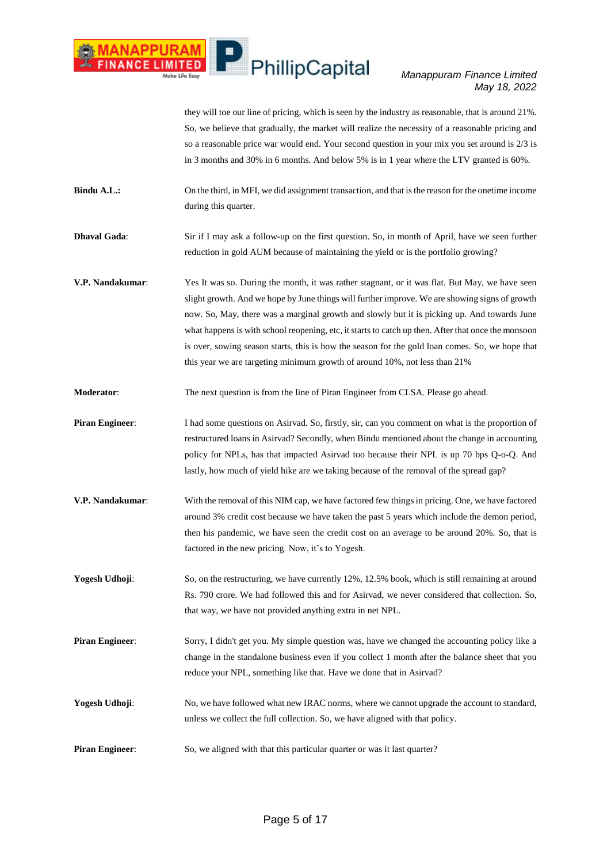### *Manappuram Finance Limited May 18, 2022*

they will toe our line of pricing, which is seen by the industry as reasonable, that is around 21%. So, we believe that gradually, the market will realize the necessity of a reasonable pricing and so a reasonable price war would end. Your second question in your mix you set around is 2/3 is in 3 months and 30% in 6 months. And below 5% is in 1 year where the LTV granted is 60%.

- **Bindu A.L.:** On the third, in MFI, we did assignment transaction, and that is the reason for the onetime income during this quarter.
- **Dhaval Gada:** Sir if I may ask a follow-up on the first question. So, in month of April, have we seen further reduction in gold AUM because of maintaining the yield or is the portfolio growing?
- **V.P. Nandakumar**: Yes It was so. During the month, it was rather stagnant, or it was flat. But May, we have seen slight growth. And we hope by June things will further improve. We are showing signs of growth now. So, May, there was a marginal growth and slowly but it is picking up. And towards June what happens is with school reopening, etc, it starts to catch up then. After that once the monsoon is over, sowing season starts, this is how the season for the gold loan comes. So, we hope that this year we are targeting minimum growth of around 10%, not less than 21%
- **Moderator:** The next question is from the line of Piran Engineer from CLSA. Please go ahead.
- **Piran Engineer:** I had some questions on Asirvad. So, firstly, sir, can you comment on what is the proportion of restructured loans in Asirvad? Secondly, when Bindu mentioned about the change in accounting policy for NPLs, has that impacted Asirvad too because their NPL is up 70 bps Q-o-Q. And lastly, how much of yield hike are we taking because of the removal of the spread gap?
- **V.P. Nandakumar**: With the removal of this NIM cap, we have factored few things in pricing. One, we have factored around 3% credit cost because we have taken the past 5 years which include the demon period, then his pandemic, we have seen the credit cost on an average to be around 20%. So, that is factored in the new pricing. Now, it's to Yogesh.
- **Yogesh Udhoji:** So, on the restructuring, we have currently 12%, 12.5% book, which is still remaining at around Rs. 790 crore. We had followed this and for Asirvad, we never considered that collection. So, that way, we have not provided anything extra in net NPL.
- **Piran Engineer:** Sorry, I didn't get you. My simple question was, have we changed the accounting policy like a change in the standalone business even if you collect 1 month after the balance sheet that you reduce your NPL, something like that. Have we done that in Asirvad?
- **Yogesh Udhoji**: No, we have followed what new IRAC norms, where we cannot upgrade the account to standard, unless we collect the full collection. So, we have aligned with that policy.
- **Piran Engineer:** So, we aligned with that this particular quarter or was it last quarter?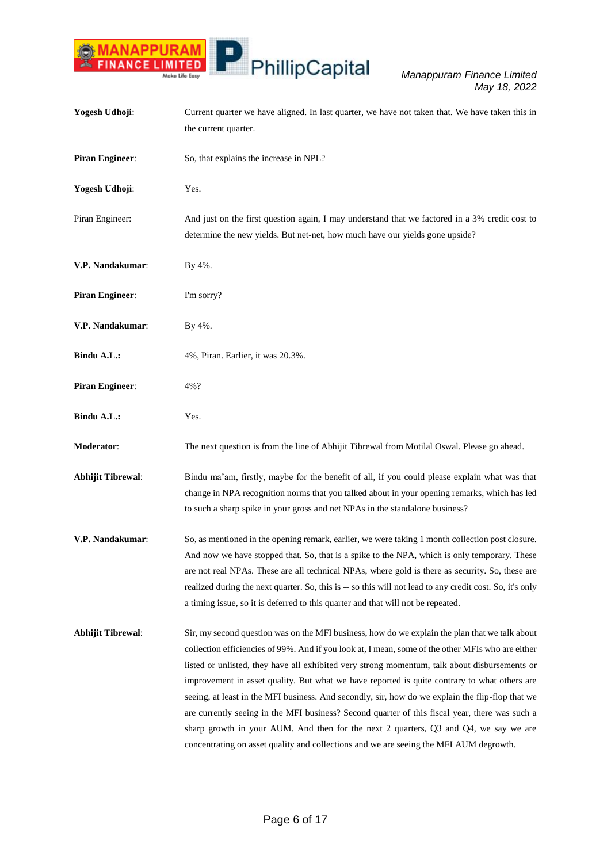

| Yogesh Udhoji:           | Current quarter we have aligned. In last quarter, we have not taken that. We have taken this in<br>the current quarter.                                                                                                                                                                                                                                                                                                                                                                                                                                                                                                                                                                                                                                                                      |
|--------------------------|----------------------------------------------------------------------------------------------------------------------------------------------------------------------------------------------------------------------------------------------------------------------------------------------------------------------------------------------------------------------------------------------------------------------------------------------------------------------------------------------------------------------------------------------------------------------------------------------------------------------------------------------------------------------------------------------------------------------------------------------------------------------------------------------|
| <b>Piran Engineer:</b>   | So, that explains the increase in NPL?                                                                                                                                                                                                                                                                                                                                                                                                                                                                                                                                                                                                                                                                                                                                                       |
| Yogesh Udhoji:           | Yes.                                                                                                                                                                                                                                                                                                                                                                                                                                                                                                                                                                                                                                                                                                                                                                                         |
| Piran Engineer:          | And just on the first question again, I may understand that we factored in a 3% credit cost to<br>determine the new yields. But net-net, how much have our yields gone upside?                                                                                                                                                                                                                                                                                                                                                                                                                                                                                                                                                                                                               |
| V.P. Nandakumar:         | By 4%.                                                                                                                                                                                                                                                                                                                                                                                                                                                                                                                                                                                                                                                                                                                                                                                       |
| <b>Piran Engineer:</b>   | I'm sorry?                                                                                                                                                                                                                                                                                                                                                                                                                                                                                                                                                                                                                                                                                                                                                                                   |
| V.P. Nandakumar:         | By 4%.                                                                                                                                                                                                                                                                                                                                                                                                                                                                                                                                                                                                                                                                                                                                                                                       |
| <b>Bindu A.L.:</b>       | 4%, Piran. Earlier, it was 20.3%.                                                                                                                                                                                                                                                                                                                                                                                                                                                                                                                                                                                                                                                                                                                                                            |
| <b>Piran Engineer:</b>   | 4%?                                                                                                                                                                                                                                                                                                                                                                                                                                                                                                                                                                                                                                                                                                                                                                                          |
| <b>Bindu A.L.:</b>       | Yes.                                                                                                                                                                                                                                                                                                                                                                                                                                                                                                                                                                                                                                                                                                                                                                                         |
| Moderator:               | The next question is from the line of Abhijit Tibrewal from Motilal Oswal. Please go ahead.                                                                                                                                                                                                                                                                                                                                                                                                                                                                                                                                                                                                                                                                                                  |
| <b>Abhijit Tibrewal:</b> | Bindu ma'am, firstly, maybe for the benefit of all, if you could please explain what was that<br>change in NPA recognition norms that you talked about in your opening remarks, which has led<br>to such a sharp spike in your gross and net NPAs in the standalone business?                                                                                                                                                                                                                                                                                                                                                                                                                                                                                                                |
| V.P. Nandakumar:         | So, as mentioned in the opening remark, earlier, we were taking 1 month collection post closure.<br>And now we have stopped that. So, that is a spike to the NPA, which is only temporary. These<br>are not real NPAs. These are all technical NPAs, where gold is there as security. So, these are<br>realized during the next quarter. So, this is -- so this will not lead to any credit cost. So, it's only<br>a timing issue, so it is deferred to this quarter and that will not be repeated.                                                                                                                                                                                                                                                                                          |
| <b>Abhijit Tibrewal:</b> | Sir, my second question was on the MFI business, how do we explain the plan that we talk about<br>collection efficiencies of 99%. And if you look at, I mean, some of the other MFIs who are either<br>listed or unlisted, they have all exhibited very strong momentum, talk about disbursements or<br>improvement in asset quality. But what we have reported is quite contrary to what others are<br>seeing, at least in the MFI business. And secondly, sir, how do we explain the flip-flop that we<br>are currently seeing in the MFI business? Second quarter of this fiscal year, there was such a<br>sharp growth in your AUM. And then for the next 2 quarters, Q3 and Q4, we say we are<br>concentrating on asset quality and collections and we are seeing the MFI AUM degrowth. |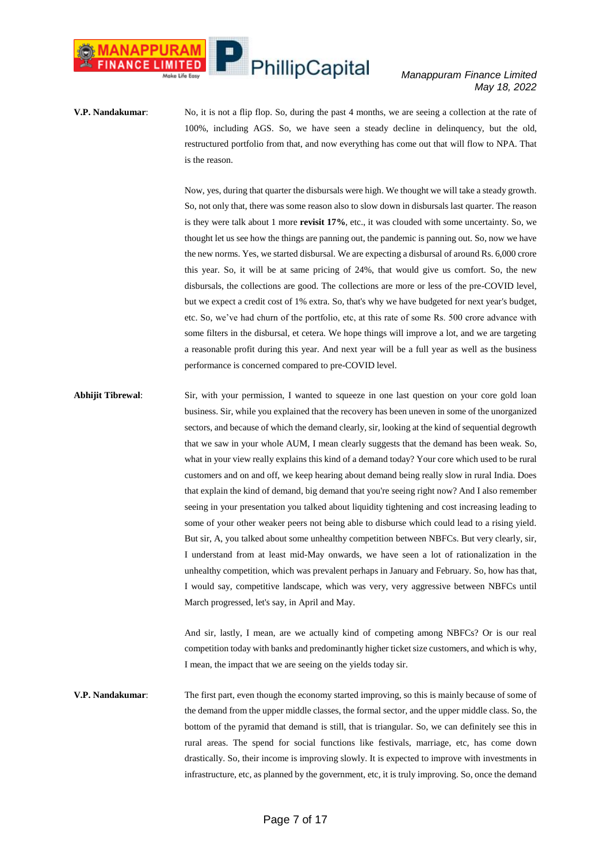#### *Manappuram Finance Limited May 18, 2022*

**V.P. Nandakumar**: No, it is not a flip flop. So, during the past 4 months, we are seeing a collection at the rate of 100%, including AGS. So, we have seen a steady decline in delinquency, but the old, restructured portfolio from that, and now everything has come out that will flow to NPA. That is the reason.

> Now, yes, during that quarter the disbursals were high. We thought we will take a steady growth. So, not only that, there was some reason also to slow down in disbursals last quarter. The reason is they were talk about 1 more **revisit 17%**, etc., it was clouded with some uncertainty. So, we thought let us see how the things are panning out, the pandemic is panning out. So, now we have the new norms. Yes, we started disbursal. We are expecting a disbursal of around Rs. 6,000 crore this year. So, it will be at same pricing of 24%, that would give us comfort. So, the new disbursals, the collections are good. The collections are more or less of the pre-COVID level, but we expect a credit cost of 1% extra. So, that's why we have budgeted for next year's budget, etc. So, we've had churn of the portfolio, etc, at this rate of some Rs. 500 crore advance with some filters in the disbursal, et cetera. We hope things will improve a lot, and we are targeting a reasonable profit during this year. And next year will be a full year as well as the business performance is concerned compared to pre-COVID level.

**Abhijit Tibrewal**: Sir, with your permission, I wanted to squeeze in one last question on your core gold loan business. Sir, while you explained that the recovery has been uneven in some of the unorganized sectors, and because of which the demand clearly, sir, looking at the kind of sequential degrowth that we saw in your whole AUM, I mean clearly suggests that the demand has been weak. So, what in your view really explains this kind of a demand today? Your core which used to be rural customers and on and off, we keep hearing about demand being really slow in rural India. Does that explain the kind of demand, big demand that you're seeing right now? And I also remember seeing in your presentation you talked about liquidity tightening and cost increasing leading to some of your other weaker peers not being able to disburse which could lead to a rising yield. But sir, A, you talked about some unhealthy competition between NBFCs. But very clearly, sir, I understand from at least mid-May onwards, we have seen a lot of rationalization in the unhealthy competition, which was prevalent perhaps in January and February. So, how has that, I would say, competitive landscape, which was very, very aggressive between NBFCs until March progressed, let's say, in April and May.

> And sir, lastly, I mean, are we actually kind of competing among NBFCs? Or is our real competition today with banks and predominantly higher ticket size customers, and which is why, I mean, the impact that we are seeing on the yields today sir.

**V.P. Nandakumar**: The first part, even though the economy started improving, so this is mainly because of some of the demand from the upper middle classes, the formal sector, and the upper middle class. So, the bottom of the pyramid that demand is still, that is triangular. So, we can definitely see this in rural areas. The spend for social functions like festivals, marriage, etc, has come down drastically. So, their income is improving slowly. It is expected to improve with investments in infrastructure, etc, as planned by the government, etc, it is truly improving. So, once the demand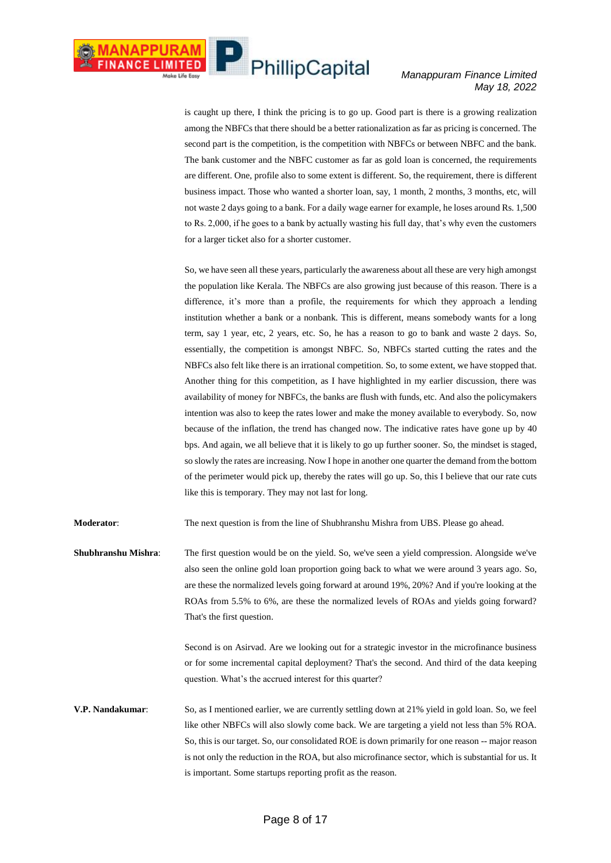is caught up there, I think the pricing is to go up. Good part is there is a growing realization among the NBFCs that there should be a better rationalization as far as pricing is concerned. The second part is the competition, is the competition with NBFCs or between NBFC and the bank. The bank customer and the NBFC customer as far as gold loan is concerned, the requirements are different. One, profile also to some extent is different. So, the requirement, there is different business impact. Those who wanted a shorter loan, say, 1 month, 2 months, 3 months, etc, will not waste 2 days going to a bank. For a daily wage earner for example, he loses around Rs. 1,500 to Rs. 2,000, if he goes to a bank by actually wasting his full day, that's why even the customers for a larger ticket also for a shorter customer.

So, we have seen all these years, particularly the awareness about all these are very high amongst the population like Kerala. The NBFCs are also growing just because of this reason. There is a difference, it's more than a profile, the requirements for which they approach a lending institution whether a bank or a nonbank. This is different, means somebody wants for a long term, say 1 year, etc, 2 years, etc. So, he has a reason to go to bank and waste 2 days. So, essentially, the competition is amongst NBFC. So, NBFCs started cutting the rates and the NBFCs also felt like there is an irrational competition. So, to some extent, we have stopped that. Another thing for this competition, as I have highlighted in my earlier discussion, there was availability of money for NBFCs, the banks are flush with funds, etc. And also the policymakers intention was also to keep the rates lower and make the money available to everybody. So, now because of the inflation, the trend has changed now. The indicative rates have gone up by 40 bps. And again, we all believe that it is likely to go up further sooner. So, the mindset is staged, so slowly the rates are increasing. Now I hope in another one quarter the demand from the bottom of the perimeter would pick up, thereby the rates will go up. So, this I believe that our rate cuts like this is temporary. They may not last for long.

**Moderator**: The next question is from the line of Shubhranshu Mishra from UBS. Please go ahead.

**Shubhranshu Mishra**: The first question would be on the yield. So, we've seen a yield compression. Alongside we've also seen the online gold loan proportion going back to what we were around 3 years ago. So, are these the normalized levels going forward at around 19%, 20%? And if you're looking at the ROAs from 5.5% to 6%, are these the normalized levels of ROAs and yields going forward? That's the first question.

> Second is on Asirvad. Are we looking out for a strategic investor in the microfinance business or for some incremental capital deployment? That's the second. And third of the data keeping question. What's the accrued interest for this quarter?

**V.P. Nandakumar**: So, as I mentioned earlier, we are currently settling down at 21% yield in gold loan. So, we feel like other NBFCs will also slowly come back. We are targeting a yield not less than 5% ROA. So, this is our target. So, our consolidated ROE is down primarily for one reason -- major reason is not only the reduction in the ROA, but also microfinance sector, which is substantial for us. It is important. Some startups reporting profit as the reason.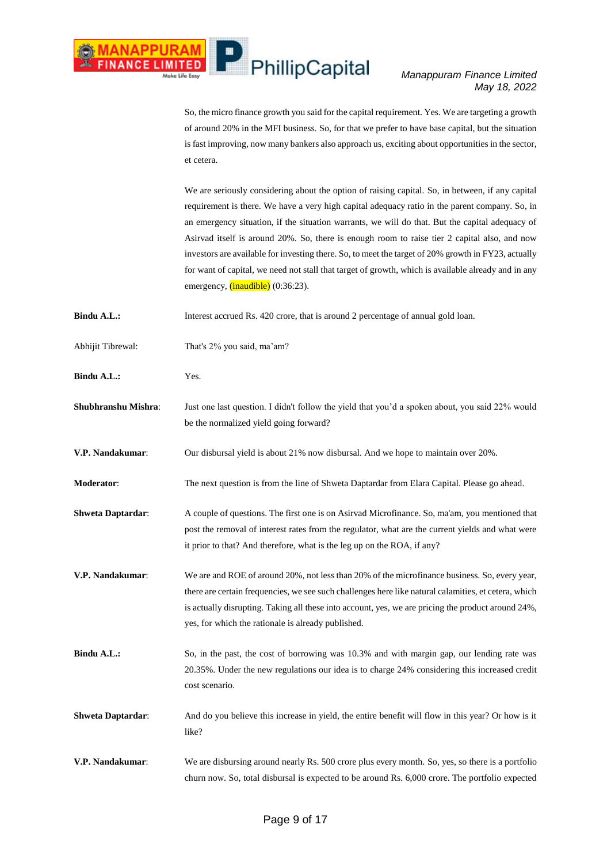### *Manappuram Finance Limited May 18, 2022*

So, the micro finance growth you said for the capital requirement. Yes. We are targeting a growth of around 20% in the MFI business. So, for that we prefer to have base capital, but the situation is fast improving, now many bankers also approach us, exciting about opportunities in the sector, et cetera.

We are seriously considering about the option of raising capital. So, in between, if any capital requirement is there. We have a very high capital adequacy ratio in the parent company. So, in an emergency situation, if the situation warrants, we will do that. But the capital adequacy of Asirvad itself is around 20%. So, there is enough room to raise tier 2 capital also, and now investors are available for investing there. So, to meet the target of 20% growth in FY23, actually for want of capital, we need not stall that target of growth, which is available already and in any emergency, *(inaudible)* (0:36:23).

**Bindu A.L.:** Interest accrued Rs. 420 crore, that is around 2 percentage of annual gold loan.

- Abhijit Tibrewal: That's 2% you said, ma'am?
- Bindu A.L.: Yes.
- **Shubhranshu Mishra**: Just one last question. I didn't follow the yield that you'd a spoken about, you said 22% would be the normalized yield going forward?
- **V.P. Nandakumar**: Our disbursal yield is about 21% now disbursal. And we hope to maintain over 20%.
- **Moderator**: The next question is from the line of Shweta Daptardar from Elara Capital. Please go ahead.
- **Shweta Daptardar:** A couple of questions. The first one is on Asirvad Microfinance. So, ma'am, you mentioned that post the removal of interest rates from the regulator, what are the current yields and what were it prior to that? And therefore, what is the leg up on the ROA, if any?
- **V.P. Nandakumar**: We are and ROE of around 20%, not less than 20% of the microfinance business. So, every year, there are certain frequencies, we see such challenges here like natural calamities, et cetera, which is actually disrupting. Taking all these into account, yes, we are pricing the product around 24%, yes, for which the rationale is already published.
- **Bindu A.L.:** So, in the past, the cost of borrowing was 10.3% and with margin gap, our lending rate was 20.35%. Under the new regulations our idea is to charge 24% considering this increased credit cost scenario.
- **Shweta Daptardar:** And do you believe this increase in yield, the entire benefit will flow in this year? Or how is it like?
- **V.P. Nandakumar**: We are disbursing around nearly Rs. 500 crore plus every month. So, yes, so there is a portfolio churn now. So, total disbursal is expected to be around Rs. 6,000 crore. The portfolio expected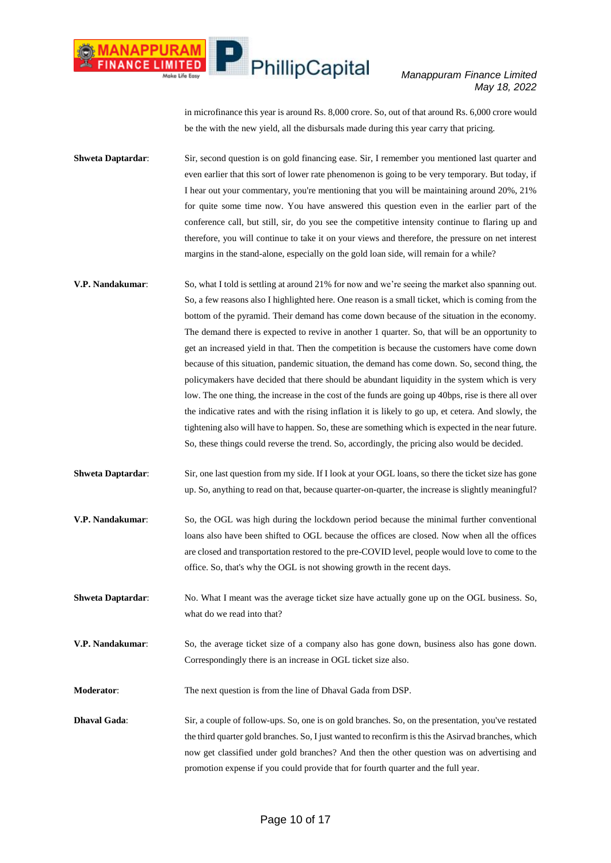### *Manappuram Finance Limited May 18, 2022*

in microfinance this year is around Rs. 8,000 crore. So, out of that around Rs. 6,000 crore would be the with the new yield, all the disbursals made during this year carry that pricing.

**Shweta Daptardar:** Sir, second question is on gold financing ease. Sir, I remember you mentioned last quarter and even earlier that this sort of lower rate phenomenon is going to be very temporary. But today, if I hear out your commentary, you're mentioning that you will be maintaining around 20%, 21% for quite some time now. You have answered this question even in the earlier part of the conference call, but still, sir, do you see the competitive intensity continue to flaring up and therefore, you will continue to take it on your views and therefore, the pressure on net interest margins in the stand-alone, especially on the gold loan side, will remain for a while?

- **V.P. Nandakumar**: So, what I told is settling at around 21% for now and we're seeing the market also spanning out. So, a few reasons also I highlighted here. One reason is a small ticket, which is coming from the bottom of the pyramid. Their demand has come down because of the situation in the economy. The demand there is expected to revive in another 1 quarter. So, that will be an opportunity to get an increased yield in that. Then the competition is because the customers have come down because of this situation, pandemic situation, the demand has come down. So, second thing, the policymakers have decided that there should be abundant liquidity in the system which is very low. The one thing, the increase in the cost of the funds are going up 40bps, rise is there all over the indicative rates and with the rising inflation it is likely to go up, et cetera. And slowly, the tightening also will have to happen. So, these are something which is expected in the near future. So, these things could reverse the trend. So, accordingly, the pricing also would be decided.
- **Shweta Daptardar:** Sir, one last question from my side. If I look at your OGL loans, so there the ticket size has gone up. So, anything to read on that, because quarter-on-quarter, the increase is slightly meaningful?
- **V.P. Nandakumar**: So, the OGL was high during the lockdown period because the minimal further conventional loans also have been shifted to OGL because the offices are closed. Now when all the offices are closed and transportation restored to the pre-COVID level, people would love to come to the office. So, that's why the OGL is not showing growth in the recent days.
- **Shweta Daptardar:** No. What I meant was the average ticket size have actually gone up on the OGL business. So, what do we read into that?
- **V.P. Nandakumar**: So, the average ticket size of a company also has gone down, business also has gone down. Correspondingly there is an increase in OGL ticket size also.
- **Moderator**: The next question is from the line of Dhaval Gada from DSP.
- **Dhaval Gada:** Sir, a couple of follow-ups. So, one is on gold branches. So, on the presentation, you've restated the third quarter gold branches. So, I just wanted to reconfirm is this the Asirvad branches, which now get classified under gold branches? And then the other question was on advertising and promotion expense if you could provide that for fourth quarter and the full year.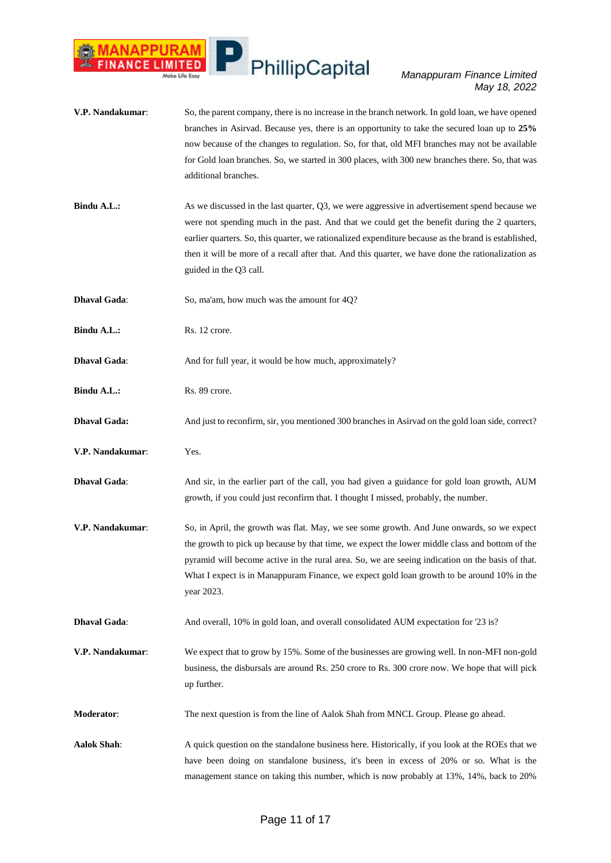

**V.P. Nandakumar**: So, the parent company, there is no increase in the branch network. In gold loan, we have opened branches in Asirvad. Because yes, there is an opportunity to take the secured loan up to **25%** now because of the changes to regulation. So, for that, old MFI branches may not be available for Gold loan branches. So, we started in 300 places, with 300 new branches there. So, that was additional branches. **Bindu A.L.:** As we discussed in the last quarter, Q3, we were aggressive in advertisement spend because we were not spending much in the past. And that we could get the benefit during the 2 quarters, earlier quarters. So, this quarter, we rationalized expenditure because as the brand is established, then it will be more of a recall after that. And this quarter, we have done the rationalization as guided in the Q3 call. **Dhaval Gada:** So, ma'am, how much was the amount for 40? **Bindu A.L.:** Rs. 12 crore. **Dhaval Gada:** And for full year, it would be how much, approximately? **Bindu A.L.:** Rs. 89 crore. **Dhaval Gada:** And just to reconfirm, sir, you mentioned 300 branches in Asirvad on the gold loan side, correct? **V.P. Nandakumar**: Yes. **Dhaval Gada**: And sir, in the earlier part of the call, you had given a guidance for gold loan growth, AUM growth, if you could just reconfirm that. I thought I missed, probably, the number. **V.P. Nandakumar**: So, in April, the growth was flat. May, we see some growth. And June onwards, so we expect the growth to pick up because by that time, we expect the lower middle class and bottom of the pyramid will become active in the rural area. So, we are seeing indication on the basis of that. What I expect is in Manappuram Finance, we expect gold loan growth to be around 10% in the year 2023. **Dhaval Gada**: And overall, 10% in gold loan, and overall consolidated AUM expectation for '23 is? **V.P. Nandakumar**: We expect that to grow by 15%. Some of the businesses are growing well. In non-MFI non-gold business, the disbursals are around Rs. 250 crore to Rs. 300 crore now. We hope that will pick up further. **Moderator**: The next question is from the line of Aalok Shah from MNCL Group. Please go ahead. Aalok Shah: A quick question on the standalone business here. Historically, if you look at the ROEs that we have been doing on standalone business, it's been in excess of 20% or so. What is the management stance on taking this number, which is now probably at 13%, 14%, back to 20%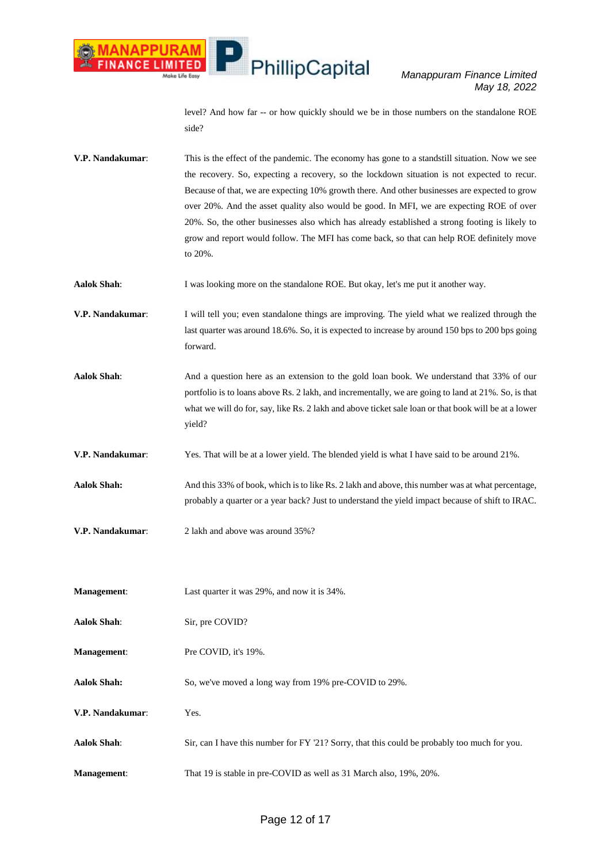

level? And how far -- or how quickly should we be in those numbers on the standalone ROE side?

| V.P. Nandakumar:   | This is the effect of the pandemic. The economy has gone to a standstill situation. Now we see<br>the recovery. So, expecting a recovery, so the lockdown situation is not expected to recur.<br>Because of that, we are expecting 10% growth there. And other businesses are expected to grow<br>over 20%. And the asset quality also would be good. In MFI, we are expecting ROE of over<br>20%. So, the other businesses also which has already established a strong footing is likely to<br>grow and report would follow. The MFI has come back, so that can help ROE definitely move<br>to 20%. |
|--------------------|------------------------------------------------------------------------------------------------------------------------------------------------------------------------------------------------------------------------------------------------------------------------------------------------------------------------------------------------------------------------------------------------------------------------------------------------------------------------------------------------------------------------------------------------------------------------------------------------------|
| <b>Aalok Shah:</b> | I was looking more on the standalone ROE. But okay, let's me put it another way.                                                                                                                                                                                                                                                                                                                                                                                                                                                                                                                     |
| V.P. Nandakumar:   | I will tell you; even standalone things are improving. The yield what we realized through the<br>last quarter was around 18.6%. So, it is expected to increase by around 150 bps to 200 bps going<br>forward.                                                                                                                                                                                                                                                                                                                                                                                        |
| <b>Aalok Shah:</b> | And a question here as an extension to the gold loan book. We understand that 33% of our<br>portfolio is to loans above Rs. 2 lakh, and incrementally, we are going to land at 21%. So, is that<br>what we will do for, say, like Rs. 2 lakh and above ticket sale loan or that book will be at a lower<br>yield?                                                                                                                                                                                                                                                                                    |
| V.P. Nandakumar:   | Yes. That will be at a lower yield. The blended yield is what I have said to be around 21%.                                                                                                                                                                                                                                                                                                                                                                                                                                                                                                          |
| <b>Aalok Shah:</b> | And this 33% of book, which is to like Rs. 2 lakh and above, this number was at what percentage,<br>probably a quarter or a year back? Just to understand the yield impact because of shift to IRAC.                                                                                                                                                                                                                                                                                                                                                                                                 |
| V.P. Nandakumar:   | 2 lakh and above was around 35%?                                                                                                                                                                                                                                                                                                                                                                                                                                                                                                                                                                     |
| <b>Management:</b> | Last quarter it was 29%, and now it is 34%.                                                                                                                                                                                                                                                                                                                                                                                                                                                                                                                                                          |
| <b>Aalok Shah:</b> | Sir, pre COVID?                                                                                                                                                                                                                                                                                                                                                                                                                                                                                                                                                                                      |
| Management:        | Pre COVID, it's 19%.                                                                                                                                                                                                                                                                                                                                                                                                                                                                                                                                                                                 |
| <b>Aalok Shah:</b> | So, we've moved a long way from 19% pre-COVID to 29%.                                                                                                                                                                                                                                                                                                                                                                                                                                                                                                                                                |
| V.P. Nandakumar:   | Yes.                                                                                                                                                                                                                                                                                                                                                                                                                                                                                                                                                                                                 |
| <b>Aalok Shah:</b> | Sir, can I have this number for FY '21? Sorry, that this could be probably too much for you.                                                                                                                                                                                                                                                                                                                                                                                                                                                                                                         |
| Management:        | That 19 is stable in pre-COVID as well as 31 March also, 19%, 20%.                                                                                                                                                                                                                                                                                                                                                                                                                                                                                                                                   |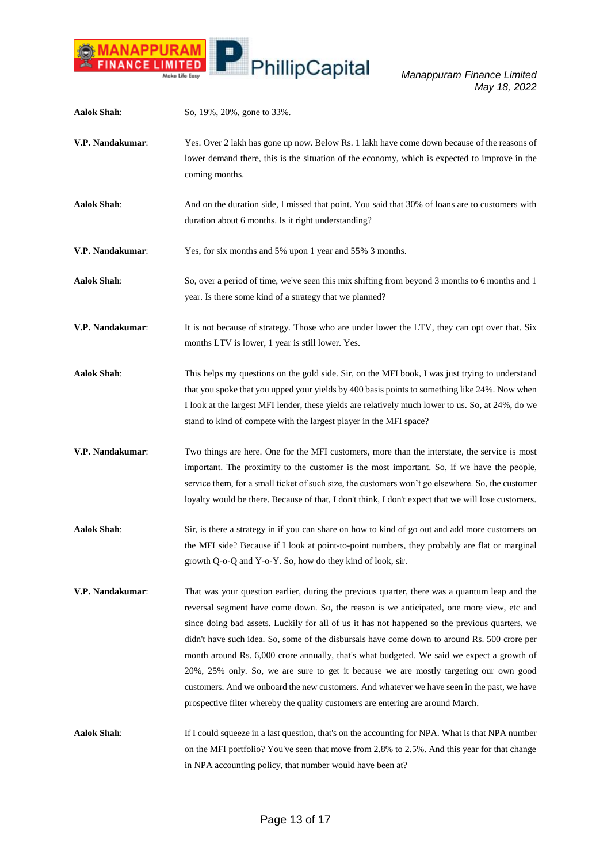

| <b>Aalok Shah:</b> | So, 19%, 20%, gone to 33%.                                                                                                                                                                                                                                                                                                                                                                                                                                                                                                                                                                                                                                                                                                                                            |
|--------------------|-----------------------------------------------------------------------------------------------------------------------------------------------------------------------------------------------------------------------------------------------------------------------------------------------------------------------------------------------------------------------------------------------------------------------------------------------------------------------------------------------------------------------------------------------------------------------------------------------------------------------------------------------------------------------------------------------------------------------------------------------------------------------|
| V.P. Nandakumar:   | Yes. Over 2 lakh has gone up now. Below Rs. 1 lakh have come down because of the reasons of<br>lower demand there, this is the situation of the economy, which is expected to improve in the<br>coming months.                                                                                                                                                                                                                                                                                                                                                                                                                                                                                                                                                        |
| <b>Aalok Shah:</b> | And on the duration side, I missed that point. You said that 30% of loans are to customers with<br>duration about 6 months. Is it right understanding?                                                                                                                                                                                                                                                                                                                                                                                                                                                                                                                                                                                                                |
| V.P. Nandakumar:   | Yes, for six months and 5% upon 1 year and 55% 3 months.                                                                                                                                                                                                                                                                                                                                                                                                                                                                                                                                                                                                                                                                                                              |
| <b>Aalok Shah:</b> | So, over a period of time, we've seen this mix shifting from beyond 3 months to 6 months and 1<br>year. Is there some kind of a strategy that we planned?                                                                                                                                                                                                                                                                                                                                                                                                                                                                                                                                                                                                             |
| V.P. Nandakumar:   | It is not because of strategy. Those who are under lower the LTV, they can opt over that. Six<br>months LTV is lower, 1 year is still lower. Yes.                                                                                                                                                                                                                                                                                                                                                                                                                                                                                                                                                                                                                     |
| <b>Aalok Shah:</b> | This helps my questions on the gold side. Sir, on the MFI book, I was just trying to understand<br>that you spoke that you upped your yields by 400 basis points to something like 24%. Now when<br>I look at the largest MFI lender, these yields are relatively much lower to us. So, at 24%, do we<br>stand to kind of compete with the largest player in the MFI space?                                                                                                                                                                                                                                                                                                                                                                                           |
| V.P. Nandakumar:   | Two things are here. One for the MFI customers, more than the interstate, the service is most<br>important. The proximity to the customer is the most important. So, if we have the people,<br>service them, for a small ticket of such size, the customers won't go elsewhere. So, the customer<br>loyalty would be there. Because of that, I don't think, I don't expect that we will lose customers.                                                                                                                                                                                                                                                                                                                                                               |
| <b>Aalok Shah:</b> | Sir, is there a strategy in if you can share on how to kind of go out and add more customers on<br>the MFI side? Because if I look at point-to-point numbers, they probably are flat or marginal<br>growth Q-o-Q and Y-o-Y. So, how do they kind of look, sir.                                                                                                                                                                                                                                                                                                                                                                                                                                                                                                        |
| V.P. Nandakumar:   | That was your question earlier, during the previous quarter, there was a quantum leap and the<br>reversal segment have come down. So, the reason is we anticipated, one more view, etc and<br>since doing bad assets. Luckily for all of us it has not happened so the previous quarters, we<br>didn't have such idea. So, some of the disbursals have come down to around Rs. 500 crore per<br>month around Rs. 6,000 crore annually, that's what budgeted. We said we expect a growth of<br>20%, 25% only. So, we are sure to get it because we are mostly targeting our own good<br>customers. And we onboard the new customers. And whatever we have seen in the past, we have<br>prospective filter whereby the quality customers are entering are around March. |
| <b>Aalok Shah:</b> | If I could squeeze in a last question, that's on the accounting for NPA. What is that NPA number<br>on the MFI portfolio? You've seen that move from 2.8% to 2.5%. And this year for that change<br>in NPA accounting policy, that number would have been at?                                                                                                                                                                                                                                                                                                                                                                                                                                                                                                         |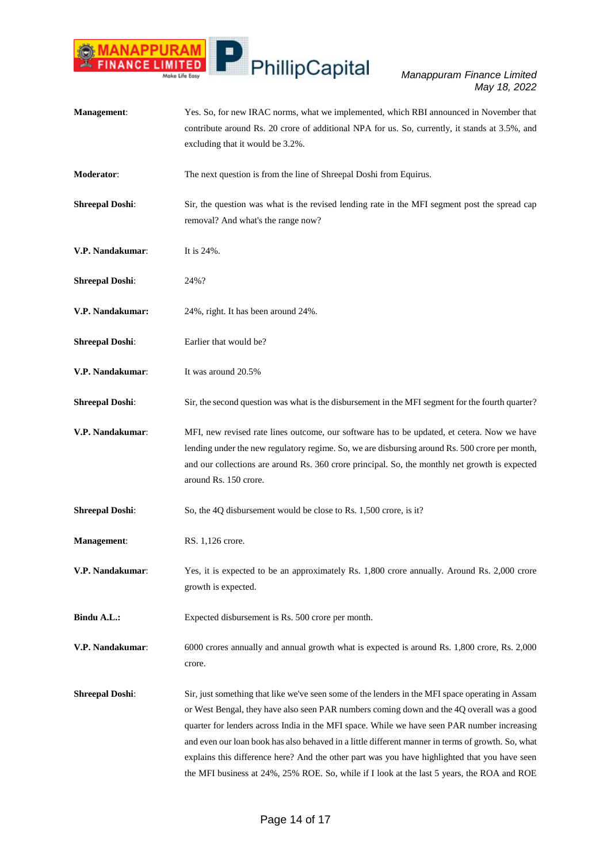

**Management**: Yes. So, for new IRAC norms, what we implemented, which RBI announced in November that contribute around Rs. 20 crore of additional NPA for us. So, currently, it stands at 3.5%, and excluding that it would be 3.2%. **Moderator:** The next question is from the line of Shreepal Doshi from Equirus. **Shreepal Doshi:** Sir, the question was what is the revised lending rate in the MFI segment post the spread cap removal? And what's the range now? **V.P. Nandakumar:** It is 24%. **Shreepal Doshi**: 24%? **V.P. Nandakumar:** 24%, right. It has been around 24%. **Shreepal Doshi:** Earlier that would be? **V.P. Nandakumar**: It was around 20.5% **Shreepal Doshi:** Sir, the second question was what is the disbursement in the MFI segment for the fourth quarter? **V.P. Nandakumar**: MFI, new revised rate lines outcome, our software has to be updated, et cetera. Now we have lending under the new regulatory regime. So, we are disbursing around Rs. 500 crore per month, and our collections are around Rs. 360 crore principal. So, the monthly net growth is expected around Rs. 150 crore. **Shreepal Doshi**: So, the 4Q disbursement would be close to Rs. 1,500 crore, is it? **Management:** RS. 1,126 crore. **V.P. Nandakumar**: Yes, it is expected to be an approximately Rs. 1,800 crore annually. Around Rs. 2,000 crore growth is expected. **Bindu A.L.:** Expected disbursement is Rs. 500 crore per month. **V.P. Nandakumar**: 6000 crores annually and annual growth what is expected is around Rs. 1,800 crore, Rs. 2,000 crore. **Shreepal Doshi:** Sir, just something that like we've seen some of the lenders in the MFI space operating in Assam or West Bengal, they have also seen PAR numbers coming down and the 4Q overall was a good quarter for lenders across India in the MFI space. While we have seen PAR number increasing and even our loan book has also behaved in a little different manner in terms of growth. So, what explains this difference here? And the other part was you have highlighted that you have seen the MFI business at 24%, 25% ROE. So, while if I look at the last 5 years, the ROA and ROE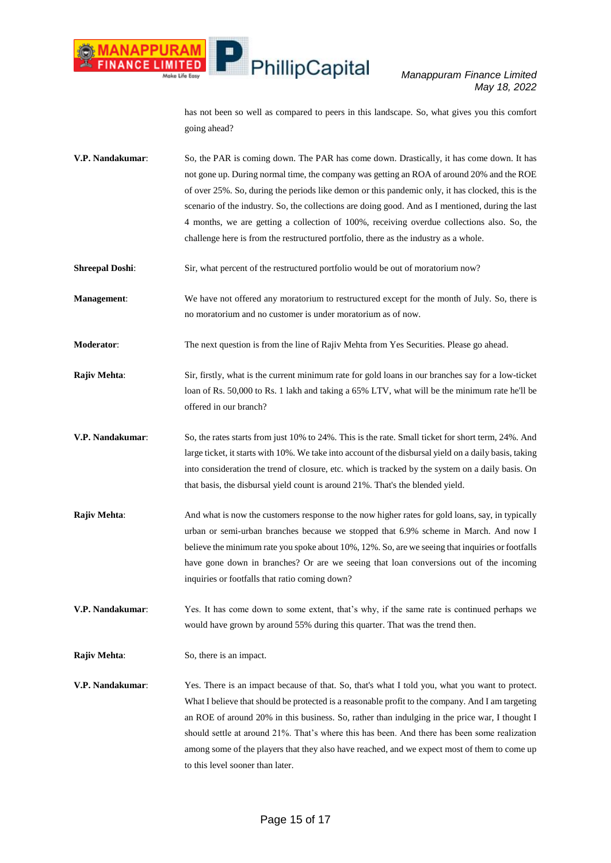*Manappuram Finance Limited May 18, 2022*

has not been so well as compared to peers in this landscape. So, what gives you this comfort going ahead?

- **V.P. Nandakumar**: So, the PAR is coming down. The PAR has come down. Drastically, it has come down. It has not gone up. During normal time, the company was getting an ROA of around 20% and the ROE of over 25%. So, during the periods like demon or this pandemic only, it has clocked, this is the scenario of the industry. So, the collections are doing good. And as I mentioned, during the last 4 months, we are getting a collection of 100%, receiving overdue collections also. So, the challenge here is from the restructured portfolio, there as the industry as a whole.
- **Shreepal Doshi:** Sir, what percent of the restructured portfolio would be out of moratorium now?

**Management**: We have not offered any moratorium to restructured except for the month of July. So, there is no moratorium and no customer is under moratorium as of now.

**Moderator:** The next question is from the line of Rajiv Mehta from Yes Securities. Please go ahead.

- **Rajiv Mehta**: Sir, firstly, what is the current minimum rate for gold loans in our branches say for a low-ticket loan of Rs. 50,000 to Rs. 1 lakh and taking a 65% LTV, what will be the minimum rate he'll be offered in our branch?
- **V.P. Nandakumar**: So, the rates starts from just 10% to 24%. This is the rate. Small ticket for short term, 24%. And large ticket, it starts with 10%. We take into account of the disbursal yield on a daily basis, taking into consideration the trend of closure, etc. which is tracked by the system on a daily basis. On that basis, the disbursal yield count is around 21%. That's the blended yield.
- **Rajiv Mehta:** And what is now the customers response to the now higher rates for gold loans, say, in typically urban or semi-urban branches because we stopped that 6.9% scheme in March. And now I believe the minimum rate you spoke about 10%, 12%. So, are we seeing that inquiries or footfalls have gone down in branches? Or are we seeing that loan conversions out of the incoming inquiries or footfalls that ratio coming down?

**V.P. Nandakumar**: Yes. It has come down to some extent, that's why, if the same rate is continued perhaps we would have grown by around 55% during this quarter. That was the trend then.

**Rajiv Mehta:** So, there is an impact.

**V.P. Nandakumar**: Yes. There is an impact because of that. So, that's what I told you, what you want to protect. What I believe that should be protected is a reasonable profit to the company. And I am targeting an ROE of around 20% in this business. So, rather than indulging in the price war, I thought I should settle at around 21%. That's where this has been. And there has been some realization among some of the players that they also have reached, and we expect most of them to come up to this level sooner than later.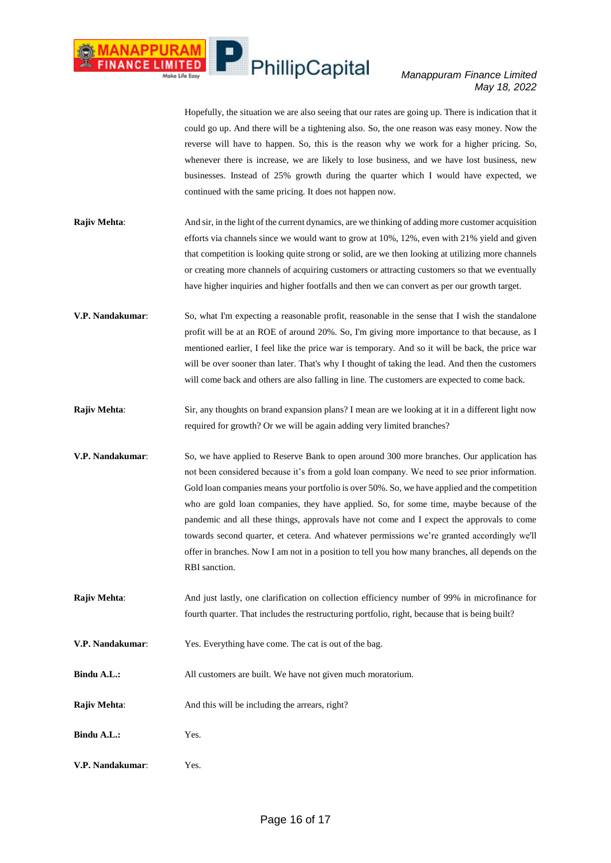### *Manappuram Finance Limited May 18, 2022*

Hopefully, the situation we are also seeing that our rates are going up. There is indication that it could go up. And there will be a tightening also. So, the one reason was easy money. Now the reverse will have to happen. So, this is the reason why we work for a higher pricing. So, whenever there is increase, we are likely to lose business, and we have lost business, new businesses. Instead of 25% growth during the quarter which I would have expected, we continued with the same pricing. It does not happen now.

- **Rajiv Mehta:** And sir, in the light of the current dynamics, are we thinking of adding more customer acquisition efforts via channels since we would want to grow at 10%, 12%, even with 21% yield and given that competition is looking quite strong or solid, are we then looking at utilizing more channels or creating more channels of acquiring customers or attracting customers so that we eventually have higher inquiries and higher footfalls and then we can convert as per our growth target.
- **V.P. Nandakumar**: So, what I'm expecting a reasonable profit, reasonable in the sense that I wish the standalone profit will be at an ROE of around 20%. So, I'm giving more importance to that because, as I mentioned earlier, I feel like the price war is temporary. And so it will be back, the price war will be over sooner than later. That's why I thought of taking the lead. And then the customers will come back and others are also falling in line. The customers are expected to come back.
- **Rajiv Mehta:** Sir, any thoughts on brand expansion plans? I mean are we looking at it in a different light now required for growth? Or we will be again adding very limited branches?
- **V.P. Nandakumar**: So, we have applied to Reserve Bank to open around 300 more branches. Our application has not been considered because it's from a gold loan company. We need to see prior information. Gold loan companies means your portfolio is over 50%. So, we have applied and the competition who are gold loan companies, they have applied. So, for some time, maybe because of the pandemic and all these things, approvals have not come and I expect the approvals to come towards second quarter, et cetera. And whatever permissions we're granted accordingly we'll offer in branches. Now I am not in a position to tell you how many branches, all depends on the RBI sanction.
- **Rajiv Mehta**: And just lastly, one clarification on collection efficiency number of 99% in microfinance for fourth quarter. That includes the restructuring portfolio, right, because that is being built?
- **V.P. Nandakumar**: Yes. Everything have come. The cat is out of the bag.
- **Bindu A.L.:** All customers are built. We have not given much moratorium.
- **Rajiv Mehta:** And this will be including the arrears, right?
- **Bindu A.L.:** Yes.
- **V.P. Nandakumar**: Yes.